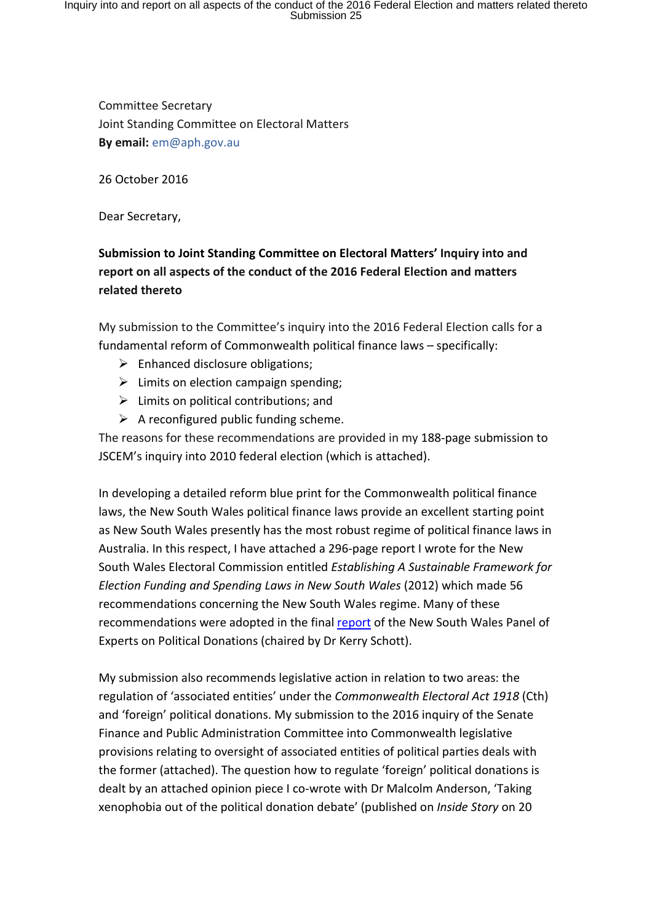Committee Secretary Joint Standing Committee on Electoral Matters **By email:** em@aph.gov.au

26 October 2016

Dear Secretary,

## **Submission to Joint Standing Committee on Electoral Matters' Inquiry into and report on all aspects of the conduct of the 2016 Federal Election and matters related thereto**

My submission to the Committee's inquiry into the 2016 Federal Election calls for a fundamental reform of Commonwealth political finance laws – specifically:

- $\triangleright$  Enhanced disclosure obligations;
- $\triangleright$  Limits on election campaign spending;
- $\triangleright$  Limits on political contributions; and
- $\triangleright$  A reconfigured public funding scheme.

The reasons for these recommendations are provided in my 188-page submission to JSCEM's inquiry into 2010 federal election (which is attached).

In developing a detailed reform blue print for the Commonwealth political finance laws, the New South Wales political finance laws provide an excellent starting point as New South Wales presently has the most robust regime of political finance laws in Australia. In this respect, I have attached a 296-page report I wrote for the New South Wales Electoral Commission entitled *Establishing A Sustainable Framework for Election Funding and Spending Laws in New South Wales* (2012) which made 56 recommendations concerning the New South Wales regime. Many of these recommendations were adopted in the final report of the New South Wales Panel of Experts on Political Donations (chaired by Dr Kerry Schott).

My submission also recommends legislative action in relation to two areas: the regulation of 'associated entities' under the *Commonwealth Electoral Act 1918* (Cth) and 'foreign' political donations. My submission to the 2016 inquiry of the Senate Finance and Public Administration Committee into Commonwealth legislative provisions relating to oversight of associated entities of political parties deals with the former (attached). The question how to regulate 'foreign' political donations is dealt by an attached opinion piece I co-wrote with Dr Malcolm Anderson, 'Taking xenophobia out of the political donation debate' (published on *Inside Story* on 20